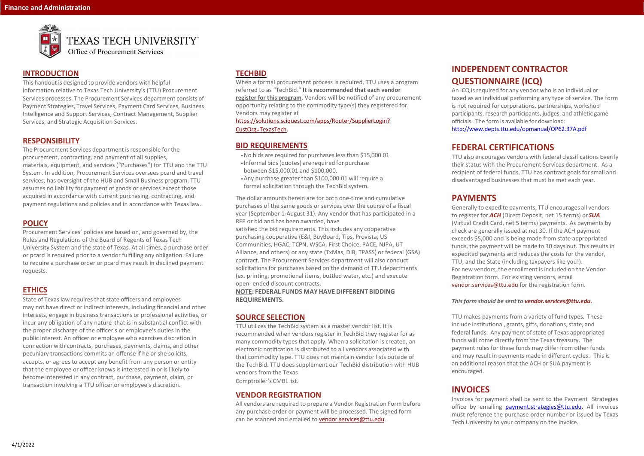

# TEXAS TECH UNIVERSITY"

### **INTRODUCTION**

This handout is designed to provide vendors with helpful information relative to Texas Tech University's (TTU) Procurement Services processes. The Procurement Services department consists of Payment Strategies, Travel Services, Payment Card Services, Business Intelligence and Support Services, Contract Management, Supplier Services, and Strategic Acquisition Services.

### **RESPONSIBILITY**

The Procurement Services department is responsible for the procurement, contracting, and payment of all supplies, materials, equipment, and services ("Purchases") for TTU and the TTU System. In addition, Procurement Services oversees pcard and travel services, has oversight of the HUB and Small Business program. TTU assumes no liability for payment of goods or services except those acquired in accordance with current purchasing, contracting, and payment regulations and policies and in accordance with Texas law.

### **POLICY**

State of Texas law requires that state officers and employees may not have direct or indirect interests, including financial and other interests, engage in business transactions or professional activities, or incur any obligation of any nature that is in substantial conflict with the proper discharge of the officer's or employee's duties in the public interest. An officer or employee who exercises discretion in connection with contracts, purchases, payments, claims, and other pecuniary transactions commits an offense if he or she solicits, accepts, or agrees to accept any benefit from any person or entity that the employee or officer knows is interested in or is likely to become interested in any contract, purchase, payment, claim, or transaction involving a TTU officer or employee's discretion.

Procurement Services' policies are based on, and governed by, the Rules and Regulations of the Board of Regents of Texas Tech University System and the state of Texas. At all times, a purchase order or pcard is required prior to a vendor fulfilling any obligation. Failure to require a purchase order or pcard may result in declined payment requests.

### **ETHICS**

All vendors are required to prepare a Vendor Registration Form before any purchase order or payment will be processed. The [signed form](mailto:vendor.services@ttu.edu)  [can be scanne](mailto:vendor.services@ttu.edu)d and emailed to [vendor.services@ttu.edu.](mailto:vendor.services@ttu.edu)

# **TECHBID**

When a formal procurement process is required, TTU uses a program referred to as "TechBid." **It is recommended that each vendor register for this program**. Vendors will be notified of any procurement opportunity relating to the commodity type(s) they registered for. Vendors may register at

> TTU also encourages vendors with federal classifications byerify their status with the Procurement Services department. As a recipient of federal funds, TTU has contract goals for small and disadvantaged businesses that must be met each year.

[https://solutions.sciquest.com/apps/Router/SupplierLogin?](https://solutions.sciquest.com/apps/Router/SupplierLogin?CustOrg=TexasTech) [CustOrg=TexasTech.](https://solutions.sciquest.com/apps/Router/SupplierLogin?CustOrg=TexasTech)

## **BID REQUIREMENTS**

- •No bids are required for purchaseslessthan \$15,000.01
- Informal bids(quotes) are required for purchase between \$15,000.01 and \$100,000.
- •Any purchase greater than \$100,000.01 will require a formal solicitation through the TechBid system.

The dollar amounts herein are for both one-time and cumulative purchases of the same goods or services over the course of a fiscal year (September 1-August 31). Any vendor that has participated in a RFP or bid and has been awarded, have

satisfied the bid requirements. This includes any cooperative purchasing cooperative (E&I, BuyBoard, Tips, Provista, US Communities, HGAC, TCPN, WSCA, First Choice, PACE, NJPA, UT Alliance, and others) or any state (TxMas, DIR, TPASS) or federal (GSA) contract. The Procurement Services department will also conduct solicitations for purchases based on the demand of TTU departments (ex. printing, promotional items, bottled water, etc.) and execute open- ended discount contracts.

**NOTE: FEDERAL FUNDS MAY HAVE DIFFERENT BIDDING REQUIREMENTS.**

# **SOURCE SELECTION**

TTU utilizes the TechBid system as a master vendor list. It is recommended when vendors register in TechBid they register for as many commodity types that apply. When a solicitation is created, an electronic notification is distributed to all vendors associated with that commodity type. TTU does not maintain vendor lists outside of the TechBid. TTU does supplement our TechBid distribution with HUB vendors from the Texas Comptroller's CMBL list.

### **VENDOR REGISTRATION**

# **INDEPENDENT CONTRACTOR QUESTIONNAIRE (ICQ)**

An ICQ is required for any vendor who is an individual or taxed as an individual performing any type of service. The form is not required for corporations, partnerships, workshop participants, research participants, judges, and athletic game officials. The form is available for download: <http://www.depts.ttu.edu/opmanual/OP62.37A.pdf>

# **FEDERAL CERTIFICATIONS**

# **PAYMENTS**

Generally to expedite payments, TTU encourages all vendors to register for *ACH* (Direct Deposit, net 15 terms) or *SUA*  (Virtual Credit Card, net 5 terms) payments. As payments by check are generally issued at net 30. If the ACH payment exceeds \$5,000 and is being made from state appropriated funds, the payment will be made to 30 days out. This results in expedited payments and reduces the costs for the vendor, TTU, and the State (including taxpayers like you!). For new vendors, the enrollment is included on the Vendor Registration form. For existing vendors, email vendor.services@ttu.edu for the registration form.

### *Thisform should be sent to [vendor.services@ttu.edu.](mailto:vendor.services@ttu.edu)*

TTU makes payments from a variety of fund types. These include institutional, grants, gifts, donations, state, and federal funds. Any payment of state of Texas appropriated funds will come directly from the Texas treasury. The payment rules for these funds may differ from other funds and may result in payments made in different cycles. This is an additional reason that the ACH or SUA payment is encouraged.

# **INVOICES**

Invoices for payment shall be sent to the Payment Strategies office by emailing [payment.strategies@ttu.edu.](mailto:payment.strategies@ttu.edu) All invoices must reference the purchase order number or issued by Texas Tech University to your company on the invoice.

Office of Procurement Services